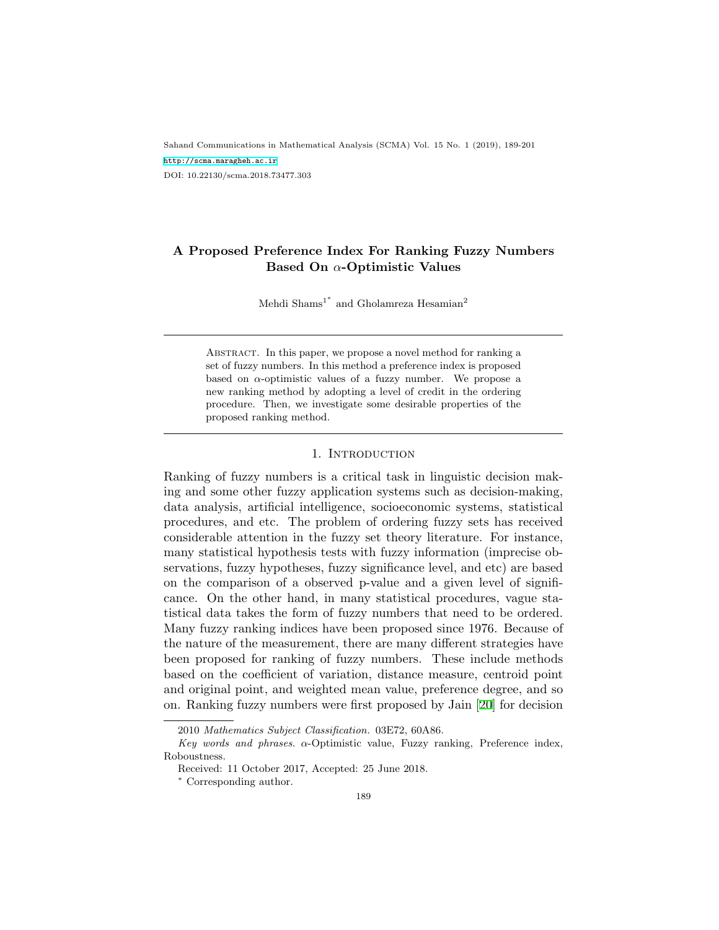Sahand Communications in Mathematical Analysis (SCMA) Vol. 15 No. 1 (2019), 189-201 <http://scma.maragheh.ac.ir> DOI: 10.22130/scma.2018.73477.303

# **A Proposed Preference Index For Ranking Fuzzy Numbers Based On** *α***-Optimistic Values**

Mehdi Shams<sup>1\*</sup> and Gholamreza Hesamian<sup>2</sup>

Abstract. In this paper, we propose a novel method for ranking a set of fuzzy numbers. In this method a preference index is proposed based on  $\alpha$ -optimistic values of a fuzzy number. We propose a new ranking method by adopting a level of credit in the ordering procedure. Then, we investigate some desirable properties of the proposed ranking method.

#### 1. INTRODUCTION

Ranking of fuzzy numbers is a critical task in linguistic decision making and some other fuzzy application systems such as decision-making, data analysis, artificial intelligence, socioeconomic systems, statistical procedures, and etc. The problem of ordering fuzzy sets has received considerable attention in the fuzzy set theory literature. For instance, many statistical hypothesis tests with fuzzy information (imprecise observations, fuzzy hypotheses, fuzzy significance level, and etc) are based on the comparison of a observed p-value and a given level of significance. On the other hand, in many statistical procedures, vague statistical data takes the form of fuzzy numbers that need to be ordered. Many fuzzy ranking indices have been proposed since 1976. Because of the nature of the measurement, there are many different strategies have been proposed for ranking of fuzzy numbers. These include methods based on the coefficient of variation, distance measure, centroid point and original point, and weighted mean value, preference degree, and so on. Ranking fuzzy numbers were first proposed by Jain [\[20](#page-10-0)] for decision

<sup>2010</sup> *Mathematics Subject Classification.* 03E72, 60A86.

*Key words and phrases. α*-Optimistic value, Fuzzy ranking, Preference index, Roboustness.

Received: 11 October 2017, Accepted: 25 June 2018.

*<sup>∗</sup>* Corresponding author.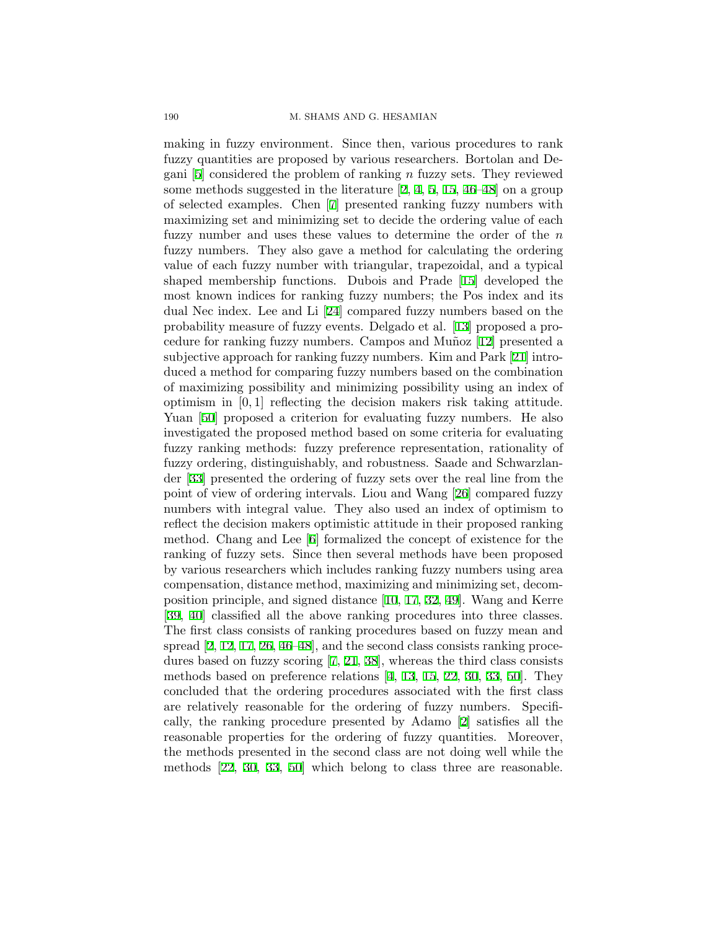making in fuzzy environment. Since then, various procedures to rank fuzzy quantities are proposed by various researchers. Bortolan and Degani [\[5\]](#page-9-0) considered the problem of ranking *n* fuzzy sets. They reviewed some methods suggested in the literature [\[2,](#page-9-1) [4,](#page-9-2) [5,](#page-9-0) [15](#page-10-1), [46–](#page-12-0)[48\]](#page-12-1) on a group of selected examples. Chen [[7](#page-10-2)] presented ranking fuzzy numbers with maximizing set and minimizing set to decide the ordering value of each fuzzy number and uses these values to determine the order of the *n* fuzzy numbers. They also gave a method for calculating the ordering value of each fuzzy number with triangular, trapezoidal, and a typical shaped membership functions. Dubois and Prade [\[15](#page-10-1)] developed the most known indices for ranking fuzzy numbers; the Pos index and its dual Nec index. Lee and Li [\[24](#page-11-0)] compared fuzzy numbers based on the probability measure of fuzzy events. Delgado et al. [[13](#page-10-3)] proposed a pro-cedure for ranking fuzzy numbers. Campos and Muñoz [[12](#page-10-4)] presented a subjective approach for ranking fuzzy numbers. Kim and Park [[21\]](#page-10-5) introduced a method for comparing fuzzy numbers based on the combination of maximizing possibility and minimizing possibility using an index of optimism in [0*,* 1] reflecting the decision makers risk taking attitude. Yuan [[50\]](#page-12-2) proposed a criterion for evaluating fuzzy numbers. He also investigated the proposed method based on some criteria for evaluating fuzzy ranking methods: fuzzy preference representation, rationality of fuzzy ordering, distinguishably, and robustness. Saade and Schwarzlander [[33](#page-11-1)] presented the ordering of fuzzy sets over the real line from the point of view of ordering intervals. Liou and Wang [[26\]](#page-11-2) compared fuzzy numbers with integral value. They also used an index of optimism to reflect the decision makers optimistic attitude in their proposed ranking method. Chang and Lee [[6](#page-10-6)] formalized the concept of existence for the ranking of fuzzy sets. Since then several methods have been proposed by various researchers which includes ranking fuzzy numbers using area compensation, distance method, maximizing and minimizing set, decomposition principle, and signed distance [[10,](#page-10-7) [17,](#page-10-8) [32](#page-11-3), [49\]](#page-12-3). Wang and Kerre [[39](#page-11-4), [40](#page-12-4)] classified all the above ranking procedures into three classes. The first class consists of ranking procedures based on fuzzy mean and spread [\[2,](#page-9-1) [12,](#page-10-4) [17](#page-10-8), [26](#page-11-2), [46](#page-12-0)[–48](#page-12-1)], and the second class consists ranking procedures based on fuzzy scoring [[7,](#page-10-2) [21](#page-10-5), [38\]](#page-11-5), whereas the third class consists methods based on preference relations [[4,](#page-9-2) [13](#page-10-3), [15](#page-10-1), [22](#page-10-9), [30](#page-11-6), [33](#page-11-1), [50](#page-12-2)]. They concluded that the ordering procedures associated with the first class are relatively reasonable for the ordering of fuzzy numbers. Specifically, the ranking procedure presented by Adamo [\[2\]](#page-9-1) satisfies all the reasonable properties for the ordering of fuzzy quantities. Moreover, the methods presented in the second class are not doing well while the methods [\[22](#page-10-9), [30](#page-11-6), [33,](#page-11-1) [50](#page-12-2)] which belong to class three are reasonable.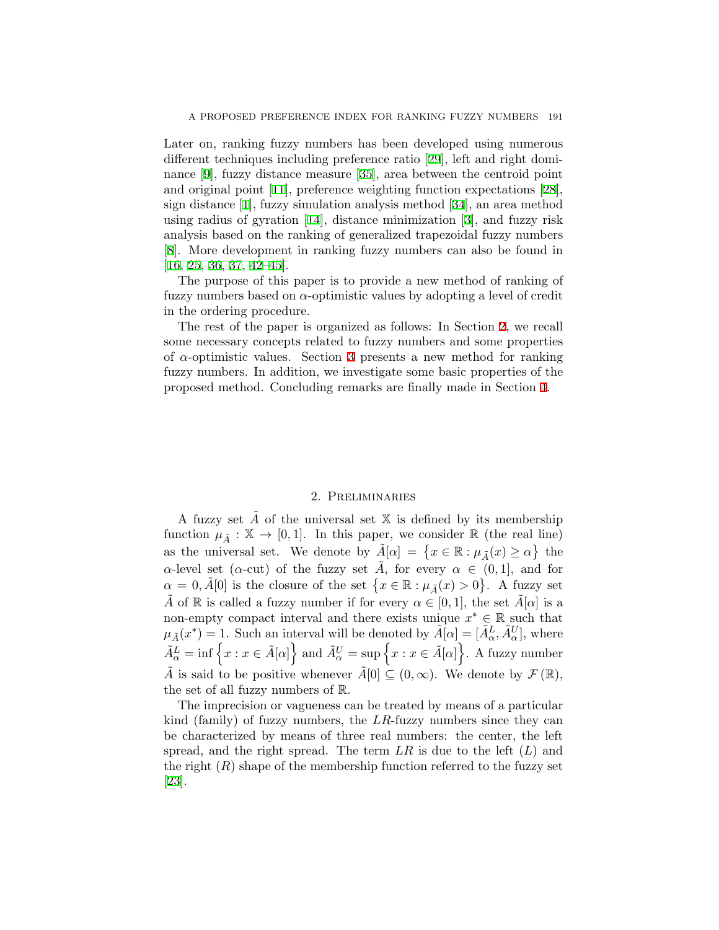Later on, ranking fuzzy numbers has been developed using numerous different techniques including preference ratio [[29\]](#page-11-7), left and right dominance [[9](#page-10-10)], fuzzy distance measure [\[35](#page-11-8)], area between the centroid point and original point [[11\]](#page-10-11), preference weighting function expectations [[28\]](#page-11-9), sign distance [[1](#page-9-3)], fuzzy simulation analysis method [\[34](#page-11-10)], an area method using radius of gyration [[14\]](#page-10-12), distance minimization [[3](#page-9-4)], and fuzzy risk analysis based on the ranking of generalized trapezoidal fuzzy numbers [[8\]](#page-10-13). More development in ranking fuzzy numbers can also be found in [[16](#page-10-14), [25](#page-11-11), [36,](#page-11-12) [37](#page-11-13), [42–](#page-12-5)[45](#page-12-6)].

The purpose of this paper is to provide a new method of ranking of fuzzy numbers based on *α*-optimistic values by adopting a level of credit in the ordering procedure.

The rest of the paper is organized as follows: In Section [2,](#page-2-0) we recall some necessary concepts related to fuzzy numbers and some properties of *α*-optimistic values. Section [3](#page-4-0) presents a new method for ranking fuzzy numbers. In addition, we investigate some basic properties of the proposed method. Concluding remarks are finally made in Section [4.](#page-9-5)

### 2. Preliminaries

<span id="page-2-0"></span>A fuzzy set  $\overline{A}$  of the universal set  $\mathbb X$  is defined by its membership function  $\mu_{\tilde{A}} : \mathbb{X} \to [0,1]$ . In this paper, we consider R (the real line) as the universal set. We denote by  $\tilde{A}[\alpha] = \{x \in \mathbb{R} : \mu_{\tilde{A}}(x) \ge \alpha\}$  the *α*-level set (*α*-cut) of the fuzzy set  $\tilde{A}$ , for every  $\alpha \in (0,1]$ , and for  $\alpha = 0, \tilde{A}[0]$  is the closure of the set  $\{x \in \mathbb{R} : \mu_{\tilde{A}}(x) > 0\}$ . A fuzzy set  $\tilde{A}$  of R is called a fuzzy number if for every  $\alpha \in [0,1]$ , the set  $\tilde{A}[\alpha]$  is a non-empty compact interval and there exists unique  $x^* \in \mathbb{R}$  such that  $\mu_{\tilde{A}}(x^*) = 1$ . Such an interval will be denoted by  $\tilde{A}[\alpha] = [\tilde{A}^L_{\alpha}, \tilde{A}^U_{\alpha}]$ , where  $\widetilde{A}_{\alpha}^{L} = \inf \left\{ x : x \in \widetilde{A}[\alpha] \right\}$  and  $\widetilde{A}_{\alpha}^{U} = \sup \left\{ x : x \in \widetilde{A}[\alpha] \right\}$ . A fuzzy number *A* is said to be positive whenever  $\tilde{A}[0] \subseteq (0,\infty)$ . We denote by  $\mathcal{F}(\mathbb{R})$ , the set of all fuzzy numbers of R.

The imprecision or vagueness can be treated by means of a particular kind (family) of fuzzy numbers, the *LR*-fuzzy numbers since they can be characterized by means of three real numbers: the center, the left spread, and the right spread. The term *LR* is due to the left (*L*) and the right  $(R)$  shape of the membership function referred to the fuzzy set [[23](#page-11-14)].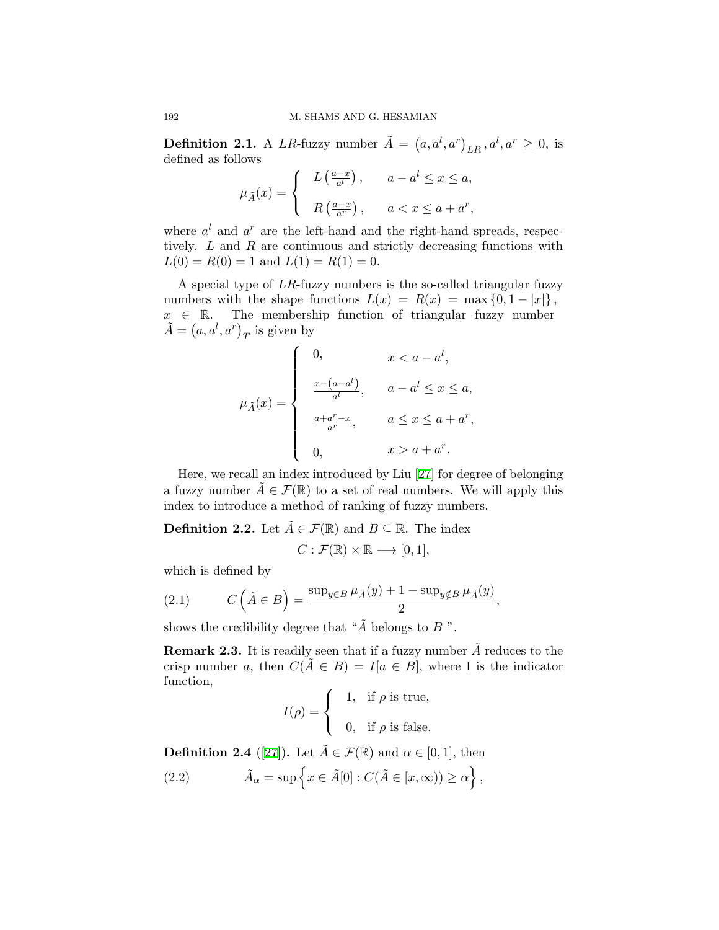**Definition 2.1.** A *LR*-fuzzy number  $\tilde{A} = (a, a^l, a^r)_{LR}, a^l, a^r \geq 0$ , is defined as follows

$$
\mu_{\tilde{A}}(x) = \begin{cases} & L\left(\frac{a-x}{a^l}\right), \quad a - a^l \le x \le a, \\ & R\left(\frac{a-x}{a^r}\right), \quad a < x \le a + a^r, \end{cases}
$$

where  $a^l$  and  $a^r$  are the left-hand and the right-hand spreads, respectively. *L* and *R* are continuous and strictly decreasing functions with  $L(0) = R(0) = 1$  and  $L(1) = R(1) = 0$ .

A special type of *LR*-fuzzy numbers is the so-called triangular fuzzy numbers with the shape functions  $L(x) = R(x) = \max\{0, 1 - |x|\},$ *x ∈* R. The membership function of triangular fuzzy number  $\tilde{A} = (a, a^l, a^r)_T$  is given by

$$
\mu_{\tilde{A}}(x) = \begin{cases}\n0, & x < a - a^l, \\
\frac{x - (a - a^l)}{a^l}, & a - a^l \le x \le a, \\
\frac{a + a^r - x}{a^r}, & a \le x \le a + a^r, \\
0, & x > a + a^r.\n\end{cases}
$$

Here, we recall an index introduced by Liu [\[27](#page-11-15)] for degree of belonging a fuzzy number  $\tilde{A} \in \mathcal{F}(\mathbb{R})$  to a set of real numbers. We will apply this index to introduce a method of ranking of fuzzy numbers.

**Definition 2.2.** Let  $A \in \mathcal{F}(\mathbb{R})$  and  $B \subseteq \mathbb{R}$ . The index

$$
C: \mathcal{F}(\mathbb{R}) \times \mathbb{R} \longrightarrow [0,1],
$$

which is defined by

(2.1) 
$$
C\left(\tilde{A} \in B\right) = \frac{\sup_{y \in B} \mu_{\tilde{A}}(y) + 1 - \sup_{y \notin B} \mu_{\tilde{A}}(y)}{2},
$$

shows the credibility degree that " $\tilde{A}$  belongs to  $B$ ".

**Remark 2.3.** It is readily seen that if a fuzzy number  $\tilde{A}$  reduces to the crisp number *a*, then  $C(\tilde{A} \in B) = I|a \in B|$ , where I is the indicator function,

$$
I(\rho) = \begin{cases} 1, & \text{if } \rho \text{ is true,} \\ 0, & \text{if } \rho \text{ is false.} \end{cases}
$$

<span id="page-3-0"></span>**Definition 2.4** ([[27](#page-11-15)]). Let  $\tilde{A} \in \mathcal{F}(\mathbb{R})$  and  $\alpha \in [0,1]$ , then

(2.2) 
$$
\tilde{A}_{\alpha} = \sup \left\{ x \in \tilde{A}[0] : C(\tilde{A} \in [x, \infty)) \ge \alpha \right\},\
$$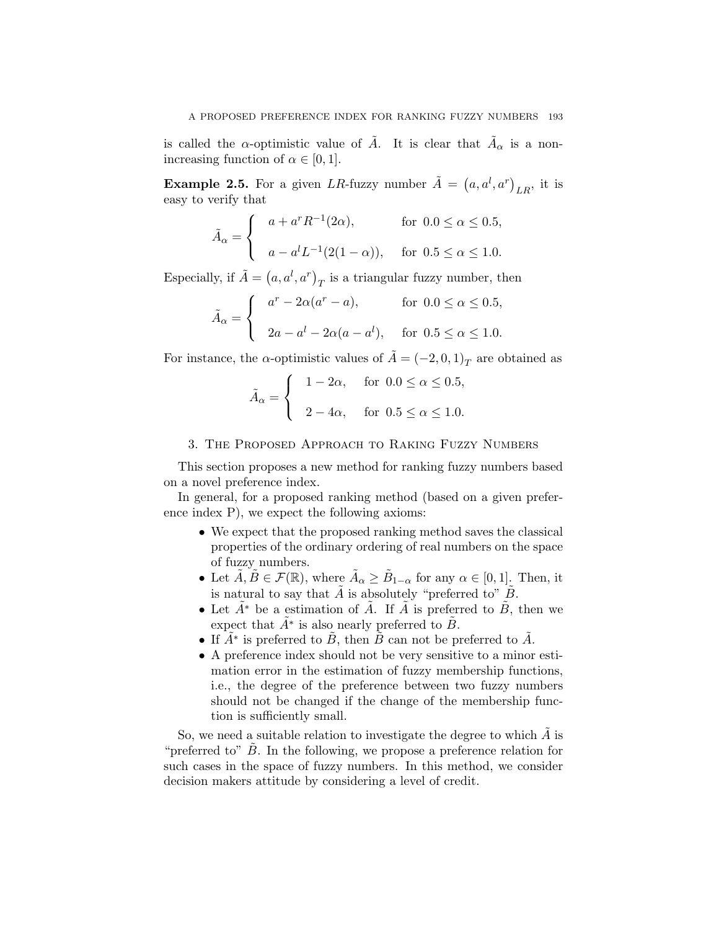is called the *α*-optimistic value of  $\tilde{A}$ . It is clear that  $\tilde{A}_{\alpha}$  is a nonincreasing function of  $\alpha \in [0, 1]$ .

**Example 2.5.** For a given *LR*-fuzzy number  $\tilde{A} = (a, a^l, a^r)_{LR}$ , it is easy to verify that

$$
\tilde{A}_{\alpha} = \begin{cases}\n a + a^{r} R^{-1}(2\alpha), & \text{for } 0.0 \le \alpha \le 0.5, \\
 a - a^{l} L^{-1}(2(1 - \alpha)), & \text{for } 0.5 \le \alpha \le 1.0.\n\end{cases}
$$

Especially, if  $\tilde{A} = (a, a^l, a^r)_T$  is a triangular fuzzy number, then

$$
\tilde{A}_{\alpha} = \begin{cases}\n a^r - 2\alpha(a^r - a), & \text{for } 0.0 \le \alpha \le 0.5, \\
 2a - a^l - 2\alpha(a - a^l), & \text{for } 0.5 \le \alpha \le 1.0.\n\end{cases}
$$

For instance, the *α*-optimistic values of  $\tilde{A} = (-2, 0, 1)_T$  are obtained as

$$
\tilde{A}_{\alpha} = \begin{cases}\n1 - 2\alpha, & \text{for } 0.0 \le \alpha \le 0.5, \\
2 - 4\alpha, & \text{for } 0.5 \le \alpha \le 1.0.\n\end{cases}
$$

## 3. The Proposed Approach to Raking Fuzzy Numbers

<span id="page-4-0"></span>This section proposes a new method for ranking fuzzy numbers based on a novel preference index.

In general, for a proposed ranking method (based on a given preference index P), we expect the following axioms:

- We expect that the proposed ranking method saves the classical properties of the ordinary ordering of real numbers on the space of fuzzy numbers.
- Let  $\tilde{A}, \tilde{B} \in \mathcal{F}(\mathbb{R})$ , where  $\tilde{A}_{\alpha} \geq \tilde{B}_{1-\alpha}$  for any  $\alpha \in [0,1]$ . Then, it is natural to say that  $\tilde{A}$  is absolutely "preferred to"  $\tilde{B}$ .
- Let  $\tilde{A}^*$  be a estimation of  $\tilde{A}$ . If  $\tilde{A}$  is preferred to  $\tilde{B}$ , then we expect that  $\tilde{A}^*$  is also nearly preferred to  $\tilde{B}$ .
- If  $\tilde{A}^*$  is preferred to  $\tilde{B}$ , then  $\tilde{B}$  can not be preferred to  $\tilde{A}$ .
- A preference index should not be very sensitive to a minor estimation error in the estimation of fuzzy membership functions, i.e., the degree of the preference between two fuzzy numbers should not be changed if the change of the membership function is sufficiently small.

So, we need a suitable relation to investigate the degree to which  $\tilde{A}$  is "preferred to" *B*. In the following, we propose a preference relation for such cases in the space of fuzzy numbers. In this method, we consider decision makers attitude by considering a level of credit.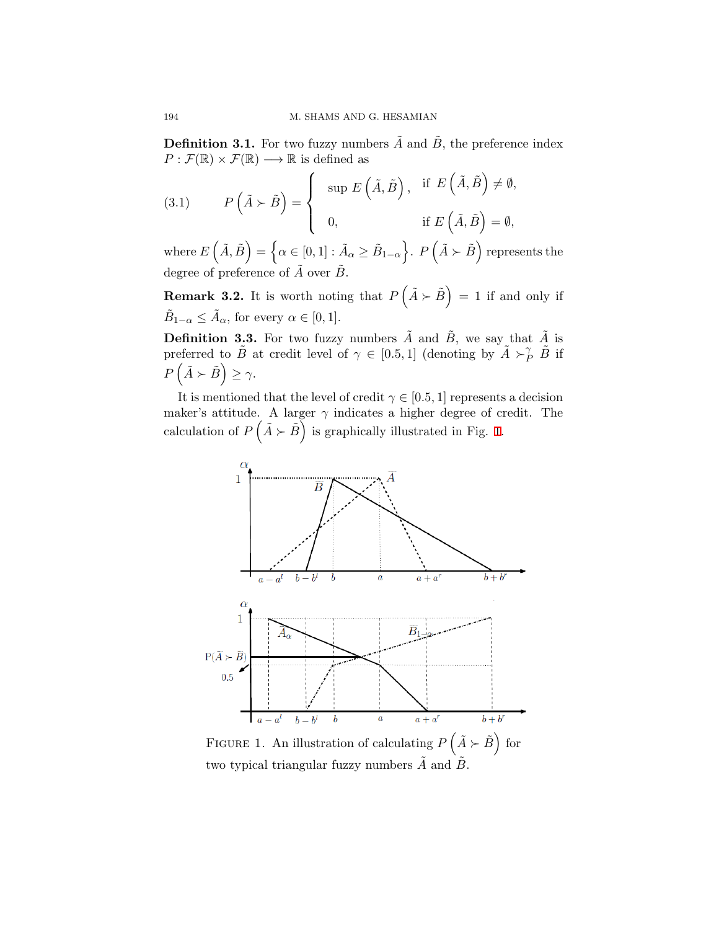**Definition 3.1.** For two fuzzy numbers  $\tilde{A}$  and  $\tilde{B}$ , the preference index  $P: \mathcal{F}(\mathbb{R}) \times \mathcal{F}(\mathbb{R}) \longrightarrow \mathbb{R}$  is defined as

(3.1) 
$$
P(\tilde{A} \succ \tilde{B}) = \begin{cases} \sup E(\tilde{A}, \tilde{B}), & \text{if } E(\tilde{A}, \tilde{B}) \neq \emptyset, \\ 0, & \text{if } E(\tilde{A}, \tilde{B}) = \emptyset, \end{cases}
$$

 $\text{where } E\left(\tilde{A}, \tilde{B}\right) = \left\{\alpha \in [0, 1]: \tilde{A}_{\alpha} \geq \tilde{B}_{1-\alpha}\right\}$ }. *P* ( $\tilde{A} \succ \tilde{B}$ ) represents the degree of preference of  $\tilde{A}$  over  $\tilde{B}$ .

**Remark 3.2.** It is worth noting that  $P(\tilde{A} \succ \tilde{B}) = 1$  if and only if  $\tilde{B}_{1-\alpha} \leq \tilde{A}_{\alpha}$ , for every  $\alpha \in [0,1]$ .

**Definition 3.3.** For two fuzzy numbers  $\tilde{A}$  and  $\tilde{B}$ , we say that  $\tilde{A}$  is preferred to  $\tilde{B}$  at credit level of  $\gamma \in [0.5, 1]$  (denoting by  $\tilde{A} \succ^{\gamma}_{P} \tilde{B}$  if  $P\left(\tilde{A} \succ \tilde{B}\right) \geq \gamma.$ 

It is mentioned that the level of credit  $\gamma \in [0.5, 1]$  represents a decision maker's attitude. A larger  $\gamma$  indicates a higher degree of credit. The calculation of  $P\left(\tilde{A} \succ \tilde{B}\right)$  is graphically illustrated in Fig. [1.](#page-5-0)



<span id="page-5-0"></span>FIGURE 1. An illustration of calculating  $P\left(\tilde{A} \succ \tilde{B}\right)$  for two typical triangular fuzzy numbers  $\tilde{A}$  and  $\tilde{B}$ .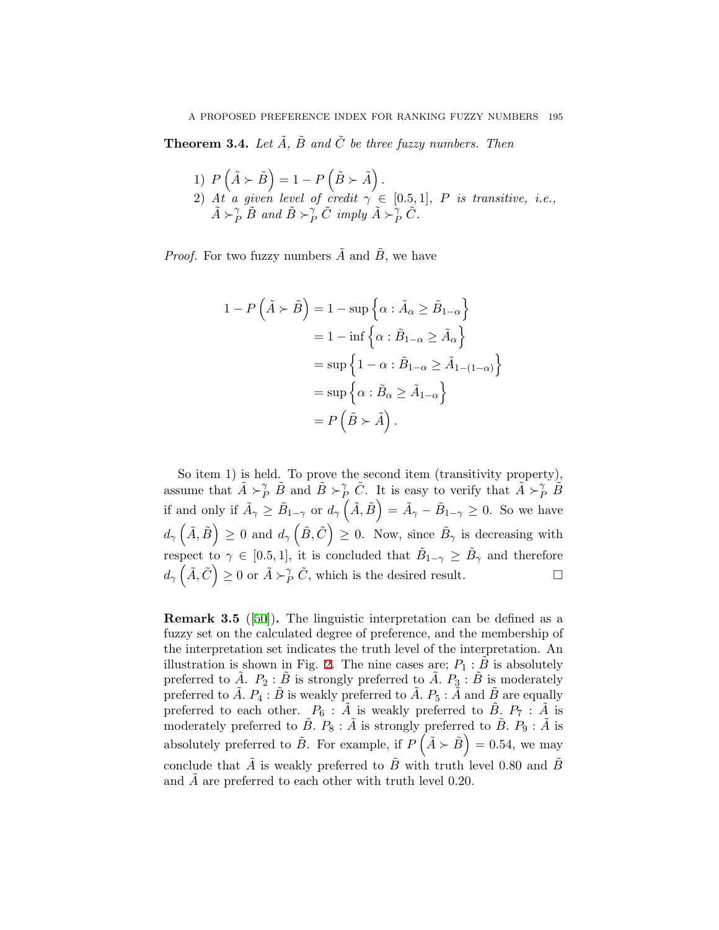<span id="page-6-0"></span>**Theorem 3.4.** *Let*  $\tilde{A}$ *,*  $\tilde{B}$  *and*  $\tilde{C}$  *be three fuzzy numbers. Then* 

1) 
$$
P\left(\tilde{A} \succ \tilde{B}\right) = 1 - P\left(\tilde{B} \succ \tilde{A}\right)
$$
.  
\n2) At a given level of credit  $\gamma \in [0.5, 1]$ , P is transitive, i.e.,  $\tilde{A} \succ_P^{\gamma} \tilde{B}$  and  $\tilde{B} \succ_P^{\gamma} \tilde{C}$  imply  $\tilde{A} \succ_P^{\gamma} \tilde{C}$ .

*Proof.* For two fuzzy numbers  $\tilde{A}$  and  $\tilde{B}$ , we have

$$
1 - P\left(\tilde{A} \succ \tilde{B}\right) = 1 - \sup\left\{\alpha : \tilde{A}_{\alpha} \ge \tilde{B}_{1-\alpha}\right\}
$$

$$
= 1 - \inf\left\{\alpha : \tilde{B}_{1-\alpha} \ge \tilde{A}_{\alpha}\right\}
$$

$$
= \sup\left\{1 - \alpha : \tilde{B}_{1-\alpha} \ge \tilde{A}_{1-(1-\alpha)}\right\}
$$

$$
= \sup\left\{\alpha : \tilde{B}_{\alpha} \ge \tilde{A}_{1-\alpha}\right\}
$$

$$
= P\left(\tilde{B} \succ \tilde{A}\right).
$$

So item 1) is held. To prove the second item (transitivity property), assume that  $\tilde{A} \succ^{\gamma}_{P} \tilde{B}$  and  $\tilde{B} \succ^{\gamma}_{P} \tilde{C}$ . It is easy to verify that  $\tilde{A} \succ^{\gamma}_{P} \tilde{B}$ if and only if  $\tilde{A}_{\gamma} \geq \tilde{B}_{1-\gamma}$  or  $d_{\gamma}(\tilde{A}, \tilde{B}) = \tilde{A}_{\gamma} - \tilde{B}_{1-\gamma} \geq 0$ . So we have  $d_{\gamma}(\tilde{A}, \tilde{B}) \geq 0$  and  $d_{\gamma}(\tilde{B}, \tilde{C}) \geq 0$ . Now, since  $\tilde{B}_{\gamma}$  is decreasing with respect to  $\gamma \in [0.5, 1]$ , it is concluded that  $\tilde{B}_{1-\gamma} \geq \tilde{B}_{\gamma}$  and therefore  $d_{\gamma}(\tilde{A}, \tilde{C}) \geq 0$  or  $\tilde{A} \succ^{\gamma}_{P} \tilde{C}$ , which is the desired result. □

**Remark 3.5** ([[50\]](#page-12-2))**.** The linguistic interpretation can be defined as a fuzzy set on the calculated degree of preference, and the membership of the interpretation set indicates the truth level of the interpretation. An illustration is shown in Fig. [2](#page-7-0). The nine cases are;  $P_1 : B$  is absolutely preferred to  $\tilde{A}$ .  $P_2$ :  $\tilde{B}$  is strongly preferred to  $\tilde{A}$ .  $P_3$ :  $\tilde{B}$  is moderately preferred to  $\tilde{A}$ .  $P_4$ :  $\tilde{B}$  is weakly preferred to  $\tilde{A}$ .  $P_5$ :  $\tilde{A}$  and  $\tilde{B}$  are equally preferred to each other.  $P_6$ :  $\tilde{A}$  is weakly preferred to  $\tilde{B}$ ,  $P_7$ :  $\tilde{A}$  is moderately preferred to  $\tilde{B}$ .  $P_8$ :  $\tilde{A}$  is strongly preferred to  $\tilde{B}$ .  $P_9$ :  $\tilde{A}$  is absolutely preferred to  $\tilde{B}$ . For example, if  $P(\tilde{A} \succ \tilde{B}) = 0.54$ , we may conclude that  $\overline{A}$  is weakly preferred to  $\overline{B}$  with truth level 0.80 and  $\overline{B}$ and *A* are preferred to each other with truth level 0.20.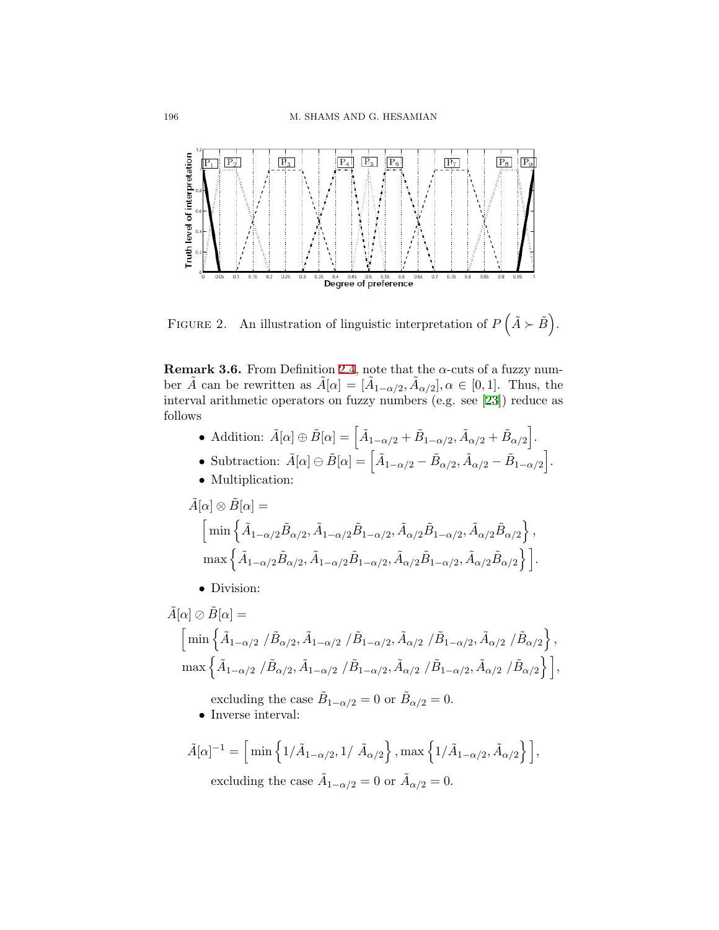

<span id="page-7-0"></span>FIGURE 2. An illustration of linguistic interpretation of  $P(\tilde{A} \succ \tilde{B})$ .

<span id="page-7-1"></span>**Remark 3.6.** From Definition [2.4,](#page-3-0) note that the  $\alpha$ -cuts of a fuzzy number  $\tilde{A}$  can be rewritten as  $\tilde{A}[\alpha] = [\tilde{A}_{1-\alpha/2}, \tilde{A}_{\alpha/2}], \alpha \in [0, 1]$ . Thus, the interval arithmetic operators on fuzzy numbers (e.g. see [[23](#page-11-14)]) reduce as follows

- Addition:  $\tilde{A}[\alpha] \oplus \tilde{B}[\alpha] = \left[ \tilde{A}_{1-\alpha/2} + \tilde{B}_{1-\alpha/2}, \tilde{A}_{\alpha/2} + \tilde{B}_{\alpha/2} \right].$
- Subtraction:  $\tilde{A}[\alpha] \ominus \tilde{B}[\alpha] = \left[ \tilde{A}_{1-\alpha/2} \tilde{B}_{\alpha/2}, \tilde{A}_{\alpha/2} \tilde{B}_{1-\alpha/2} \right]$ ] .
- *•* Multiplication:

$$
\begin{split} \tilde{A}[\alpha] &\otimes \tilde{B}[\alpha] = \\ &\qquad\Big[\min\Big\{\tilde{A}_{1-\alpha/2}\tilde{B}_{\alpha/2}, \tilde{A}_{1-\alpha/2}\tilde{B}_{1-\alpha/2}, \tilde{A}_{\alpha/2}\tilde{B}_{1-\alpha/2}, \tilde{A}_{\alpha/2}\tilde{B}_{\alpha/2}\Big\}\,, \\ &\qquad\Big.\max\Big\{\tilde{A}_{1-\alpha/2}\tilde{B}_{\alpha/2}, \tilde{A}_{1-\alpha/2}\tilde{B}_{1-\alpha/2}, \tilde{A}_{\alpha/2}\tilde{B}_{1-\alpha/2}, \tilde{A}_{\alpha/2}\tilde{B}_{\alpha/2}\Big\}\,\Big]. \end{split}
$$

*•* Division:

 $\tilde{A}[\alpha] \oslash \tilde{B}[\alpha] =$  $\left[\,\min\left\{\tilde{A}_{1-\alpha/2}\ /\tilde{B}_{\alpha/2}, \tilde{A}_{1-\alpha/2}\ /\tilde{B}_{1-\alpha/2}, \tilde{A}_{\alpha/2}\ /\tilde{B}_{1-\alpha/2}, \tilde{A}_{\alpha/2}\ /\tilde{B}_{\alpha/2}\right\},\right.$  $\max\left\{ \tilde{A}_{1-\alpha/2} \; / \tilde{B}_{\alpha/2}, \tilde{A}_{1-\alpha/2} \; / \tilde{B}_{1-\alpha/2}, \tilde{A}_{\alpha/2} \; / \tilde{B}_{1-\alpha/2}, \tilde{A}_{\alpha/2} \; / \tilde{B}_{\alpha/2} \right\} \Big],$ excluding the case  $\tilde{B}_{1-\alpha/2} = 0$  or  $\tilde{B}_{\alpha/2} = 0$ .

*•* Inverse interval:

$$
\tilde{A}[\alpha]^{-1} = \Big[\min\Big\{1/\tilde{A}_{1-\alpha/2}, 1/\ \tilde{A}_{\alpha/2}\Big\}\,, \max\Big\{1/\tilde{A}_{1-\alpha/2}, \tilde{A}_{\alpha/2}\Big\}\,\Big],
$$
 excluding the case  $\tilde{A}_{1-\alpha/2} = 0$  or  $\tilde{A}_{\alpha/2} = 0$ .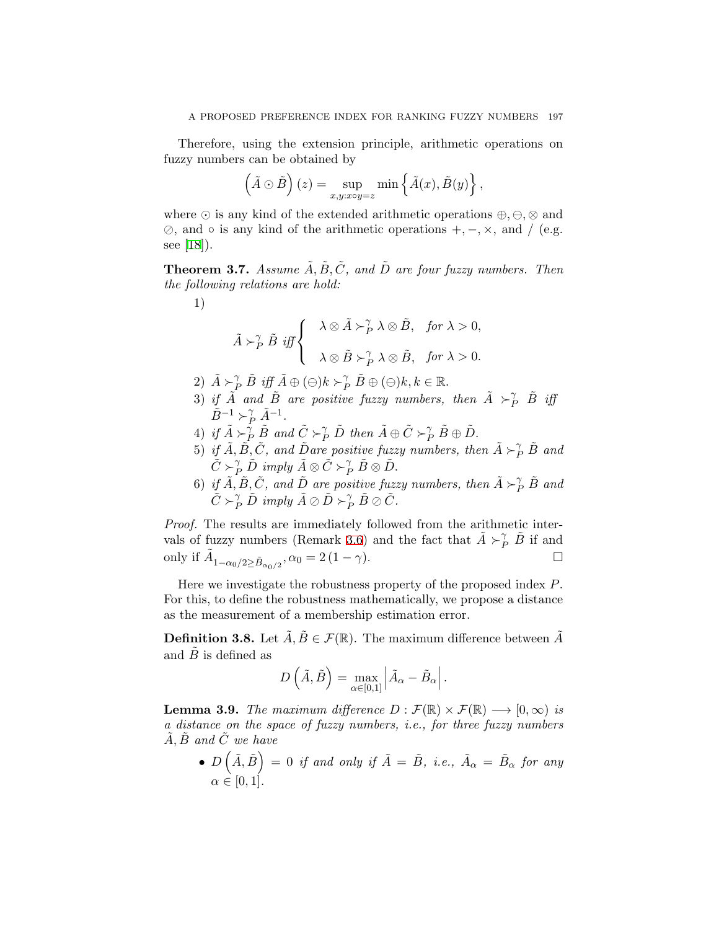Therefore, using the extension principle, arithmetic operations on fuzzy numbers can be obtained by

$$
\left(\tilde{A} \odot \tilde{B}\right)(z) = \sup_{x,y:x\circ y=z} \min\left\{\tilde{A}(x), \tilde{B}(y)\right\},\,
$$

where *⊙* is any kind of the extended arithmetic operations *⊕, ⊖, ⊗* and *⊘*, and *◦* is any kind of the arithmetic operations +*, −, ×*, and */* (e.g. see [\[18](#page-10-15)]).

**Theorem 3.7.** Assume  $\tilde{A}, \tilde{B}, \tilde{C}$ , and  $\tilde{D}$  are four fuzzy numbers. Then *the following relations are hold:*

1)

$$
\tilde{A} \succ_P^{\gamma} \tilde{B} \text{ iff } \left\{ \begin{array}{cl} \lambda \otimes \tilde{A} \succ_P^{\gamma} \lambda \otimes \tilde{B}, & \text{for } \lambda > 0, \\ \\ \lambda \otimes \tilde{B} \succ_P^{\gamma} \lambda \otimes \tilde{B}, & \text{for } \lambda > 0. \end{array} \right.
$$

- $2)$   $\tilde{A} \succ^{\gamma}_{P} \tilde{B}$  *iff*  $\tilde{A} \oplus (\ominus)k \succ^{\gamma}_{P} \tilde{B} \oplus (\ominus)k, k \in \mathbb{R}$ .
- 3) *if*  $\tilde{A}$  *and*  $\tilde{B}$  *are positive fuzzy numbers, then*  $\tilde{A} \succ^{\gamma}_{P} \tilde{B}$  *iff*  $\tilde{B}^{-1} \succ_P^{\gamma} \tilde{A}^{-1}$ .
- $4)$  *if*  $\tilde{A} \succ^{\hat{\gamma}}_{P} \tilde{B}$  and  $\tilde{C} \succ^{\gamma}_{P} \tilde{D}$  then  $\tilde{A} \oplus \tilde{C} \succ^{\gamma}_{P} \tilde{B} \oplus \tilde{D}$ .
- 5) *if*  $\tilde{A}, \tilde{B}, \tilde{C}$ *, and*  $\tilde{D}$ *are positive fuzzy numbers, then*  $\tilde{A} \succ^{\gamma}_{P} \tilde{B}$  *and*  $\tilde{C} \succ^{\gamma}_{P} \tilde{D}$  *imply*  $\tilde{A} \otimes \tilde{C} \succ^{\gamma}_{P} \tilde{B} \otimes \tilde{D}$ .
- 6) *if*  $\tilde{A}$ ,  $\tilde{B}$ ,  $\tilde{C}$ , and  $\tilde{D}$  are positive fuzzy numbers, then  $\tilde{A} \succ^{\gamma}_{P} \tilde{B}$  and  $\tilde{C} \succ^{\gamma}_{P} \tilde{D}$  *imply*  $\tilde{A} \oslash \tilde{D} \succ^{\gamma}_{P} \tilde{B} \oslash \tilde{C}$ *.*

*Proof.* The results are immediately followed from the arithmetic inter-vals of fuzzy numbers (Remark [3.6](#page-7-1)) and the fact that  $\tilde{A} \succ^{\gamma}_{P} \tilde{B}$  if and  $\Box$  only if  $\tilde{A}_{1-\alpha_0/2 \ge \tilde{B}_{\alpha_0/2}}, \alpha_0 = 2 (1 - \gamma).$  □

Here we investigate the robustness property of the proposed index *P*. For this, to define the robustness mathematically, we propose a distance as the measurement of a membership estimation error.

**Definition 3.8.** Let  $\tilde{A}, \tilde{B} \in \mathcal{F}(\mathbb{R})$ . The maximum difference between  $\tilde{A}$ and  $\overline{B}$  is defined as

$$
D\left(\tilde{A},\tilde{B}\right)=\max_{\alpha\in\left[0,1\right]}\left|\tilde{A}_{\alpha}-\tilde{B}_{\alpha}\right|.
$$

**Lemma 3.9.** *The maximum difference*  $D : \mathcal{F}(\mathbb{R}) \times \mathcal{F}(\mathbb{R}) \longrightarrow [0, \infty)$  *is a distance on the space of fuzzy numbers, i.e., for three fuzzy numbers A,* ˜ *B*˜ *and C*˜ *we have*

•  $D\left(\tilde{A}, \tilde{B}\right) = 0$  *if and only if*  $\tilde{A} = \tilde{B}$ *, i.e.,*  $\tilde{A}_{\alpha} = \tilde{B}_{\alpha}$  for any  $\alpha \in [0,1].$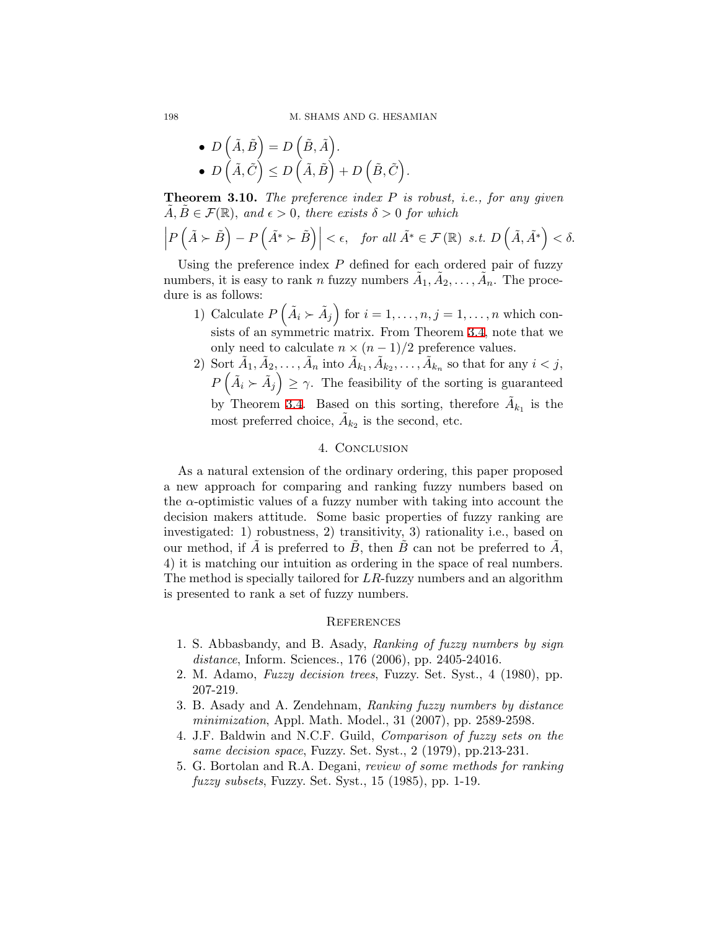• 
$$
D\left(\tilde{A}, \tilde{B}\right) = D\left(\tilde{B}, \tilde{A}\right).
$$
  
\n•  $D\left(\tilde{A}, \tilde{C}\right) \le D\left(\tilde{A}, \tilde{B}\right) + D\left(\tilde{B}, \tilde{C}\right).$ 

**Theorem 3.10.** *The preference index P is robust, i.e., for any given*  $\tilde{A}, \tilde{B} \in \mathcal{F}(\mathbb{R})$ , and  $\epsilon > 0$ , there exists  $\delta > 0$  for which

*.*

$$
\left|P\left(\tilde{A} \succ \tilde{B}\right) - P\left(\tilde{A^*} \succ \tilde{B}\right)\right| < \epsilon, \quad \text{for all } \tilde{A^*} \in \mathcal{F}(\mathbb{R}) \text{ s.t. } D\left(\tilde{A}, \tilde{A^*}\right) < \delta.
$$

Using the preference index *P* defined for each ordered pair of fuzzy numbers, it is easy to rank *n* fuzzy numbers  $\tilde{A}_1, \tilde{A}_2, \ldots, \tilde{A}_n$ . The procedure is as follows:

- 1) Calculate  $P\left(\tilde{A}_{i} \succ \tilde{A}_{j}\right)$  for  $i = 1, \ldots, n, j = 1, \ldots, n$  which consists of an symmetric matrix. From Theorem [3.4,](#page-6-0) note that we only need to calculate  $n \times (n-1)/2$  preference values.
- 2) Sort  $\tilde{A}_1, \tilde{A}_2, \ldots, \tilde{A}_n$  into  $\tilde{A}_{k_1}, \tilde{A}_{k_2}, \ldots, \tilde{A}_{k_n}$  so that for any  $i < j$ ,  $P\left(\tilde{A}_i \succ \tilde{A}_j\right) \geq \gamma$ . The feasibility of the sorting is guaranteed by Theorem [3.4.](#page-6-0) Based on this sorting, therefore  $\tilde{A}_{k_1}$  is the most preferred choice,  $\tilde{A}_{k_2}$  is the second, etc.

## 4. CONCLUSION

<span id="page-9-5"></span>As a natural extension of the ordinary ordering, this paper proposed a new approach for comparing and ranking fuzzy numbers based on the  $\alpha$ -optimistic values of a fuzzy number with taking into account the decision makers attitude. Some basic properties of fuzzy ranking are investigated: 1) robustness, 2) transitivity, 3) rationality i.e., based on our method, if  $\overline{A}$  is preferred to  $\overline{B}$ , then  $\overline{B}$  can not be preferred to  $\overline{A}$ , 4) it is matching our intuition as ordering in the space of real numbers. The method is specially tailored for *LR*-fuzzy numbers and an algorithm is presented to rank a set of fuzzy numbers.

#### **REFERENCES**

- <span id="page-9-3"></span>1. S. Abbasbandy, and B. Asady, *Ranking of fuzzy numbers by sign distance*, Inform. Sciences., 176 (2006), pp. 2405-24016.
- <span id="page-9-1"></span>2. M. Adamo, *Fuzzy decision trees*, Fuzzy. Set. Syst., 4 (1980), pp. 207-219.
- <span id="page-9-4"></span>3. B. Asady and A. Zendehnam, *Ranking fuzzy numbers by distance minimization*, Appl. Math. Model., 31 (2007), pp. 2589-2598.
- <span id="page-9-2"></span>4. J.F. Baldwin and N.C.F. Guild, *Comparison of fuzzy sets on the same decision space*, Fuzzy. Set. Syst., 2 (1979), pp.213-231.
- <span id="page-9-0"></span>5. G. Bortolan and R.A. Degani, *review of some methods for ranking fuzzy subsets*, Fuzzy. Set. Syst., 15 (1985), pp. 1-19.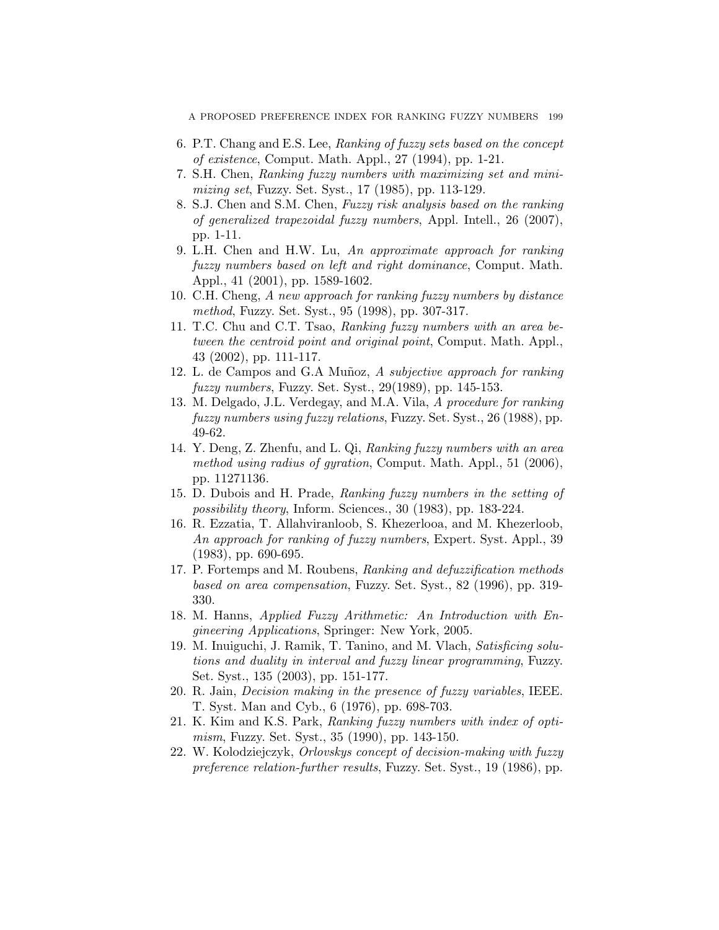A PROPOSED PREFERENCE INDEX FOR RANKING FUZZY NUMBERS 199

- <span id="page-10-6"></span>6. P.T. Chang and E.S. Lee, *Ranking of fuzzy sets based on the concept of existence*, Comput. Math. Appl., 27 (1994), pp. 1-21.
- <span id="page-10-2"></span>7. S.H. Chen, *Ranking fuzzy numbers with maximizing set and minimizing set*, Fuzzy. Set. Syst., 17 (1985), pp. 113-129.
- <span id="page-10-13"></span>8. S.J. Chen and S.M. Chen, *Fuzzy risk analysis based on the ranking of generalized trapezoidal fuzzy numbers*, Appl. Intell., 26 (2007), pp. 1-11.
- <span id="page-10-10"></span>9. L.H. Chen and H.W. Lu, *An approximate approach for ranking fuzzy numbers based on left and right dominance*, Comput. Math. Appl., 41 (2001), pp. 1589-1602.
- <span id="page-10-7"></span>10. C.H. Cheng, *A new approach for ranking fuzzy numbers by distance method*, Fuzzy. Set. Syst., 95 (1998), pp. 307-317.
- <span id="page-10-11"></span>11. T.C. Chu and C.T. Tsao, *Ranking fuzzy numbers with an area between the centroid point and original point*, Comput. Math. Appl., 43 (2002), pp. 111-117.
- <span id="page-10-4"></span>12. L. de Campos and G.A Muñoz, *A subjective approach for ranking fuzzy numbers*, Fuzzy. Set. Syst., 29(1989), pp. 145-153.
- <span id="page-10-3"></span>13. M. Delgado, J.L. Verdegay, and M.A. Vila, *A procedure for ranking fuzzy numbers using fuzzy relations*, Fuzzy. Set. Syst., 26 (1988), pp. 49-62.
- <span id="page-10-12"></span>14. Y. Deng, Z. Zhenfu, and L. Qi, *Ranking fuzzy numbers with an area method using radius of gyration*, Comput. Math. Appl., 51 (2006), pp. 11271136.
- <span id="page-10-1"></span>15. D. Dubois and H. Prade, *Ranking fuzzy numbers in the setting of possibility theory*, Inform. Sciences., 30 (1983), pp. 183-224.
- <span id="page-10-14"></span>16. R. Ezzatia, T. Allahviranloob, S. Khezerlooa, and M. Khezerloob, *An approach for ranking of fuzzy numbers*, Expert. Syst. Appl., 39 (1983), pp. 690-695.
- <span id="page-10-8"></span>17. P. Fortemps and M. Roubens, *Ranking and defuzzification methods based on area compensation*, Fuzzy. Set. Syst., 82 (1996), pp. 319- 330.
- <span id="page-10-15"></span>18. M. Hanns, *Applied Fuzzy Arithmetic: An Introduction with Engineering Applications*, Springer: New York, 2005.
- 19. M. Inuiguchi, J. Ramik, T. Tanino, and M. Vlach, *Satisficing solutions and duality in interval and fuzzy linear programming*, Fuzzy. Set. Syst., 135 (2003), pp. 151-177.
- <span id="page-10-0"></span>20. R. Jain, *Decision making in the presence of fuzzy variables*, IEEE. T. Syst. Man and Cyb., 6 (1976), pp. 698-703.
- <span id="page-10-5"></span>21. K. Kim and K.S. Park, *Ranking fuzzy numbers with index of optimism*, Fuzzy. Set. Syst., 35 (1990), pp. 143-150.
- <span id="page-10-9"></span>22. W. Kolodziejczyk, *Orlovskys concept of decision-making with fuzzy preference relation-further results*, Fuzzy. Set. Syst., 19 (1986), pp.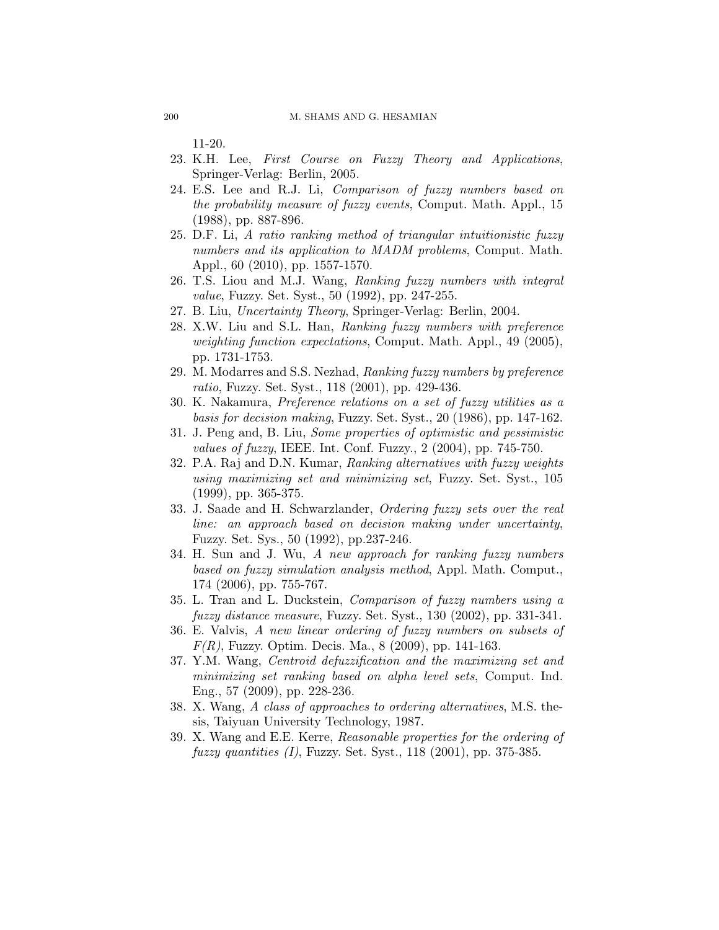11-20.

- <span id="page-11-14"></span>23. K.H. Lee, *First Course on Fuzzy Theory and Applications*, Springer-Verlag: Berlin, 2005.
- <span id="page-11-0"></span>24. E.S. Lee and R.J. Li, *Comparison of fuzzy numbers based on the probability measure of fuzzy events*, Comput. Math. Appl., 15 (1988), pp. 887-896.
- <span id="page-11-11"></span>25. D.F. Li, *A ratio ranking method of triangular intuitionistic fuzzy numbers and its application to MADM problems*, Comput. Math. Appl., 60 (2010), pp. 1557-1570.
- <span id="page-11-2"></span>26. T.S. Liou and M.J. Wang, *Ranking fuzzy numbers with integral value*, Fuzzy. Set. Syst., 50 (1992), pp. 247-255.
- <span id="page-11-15"></span>27. B. Liu, *Uncertainty Theory*, Springer-Verlag: Berlin, 2004.
- <span id="page-11-9"></span>28. X.W. Liu and S.L. Han, *Ranking fuzzy numbers with preference weighting function expectations*, Comput. Math. Appl., 49 (2005), pp. 1731-1753.
- <span id="page-11-7"></span>29. M. Modarres and S.S. Nezhad, *Ranking fuzzy numbers by preference ratio*, Fuzzy. Set. Syst., 118 (2001), pp. 429-436.
- <span id="page-11-6"></span>30. K. Nakamura, *Preference relations on a set of fuzzy utilities as a basis for decision making*, Fuzzy. Set. Syst., 20 (1986), pp. 147-162.
- 31. J. Peng and, B. Liu, *Some properties of optimistic and pessimistic values of fuzzy*, IEEE. Int. Conf. Fuzzy., 2 (2004), pp. 745-750.
- <span id="page-11-3"></span>32. P.A. Raj and D.N. Kumar, *Ranking alternatives with fuzzy weights using maximizing set and minimizing set*, Fuzzy. Set. Syst., 105 (1999), pp. 365-375.
- <span id="page-11-1"></span>33. J. Saade and H. Schwarzlander, *Ordering fuzzy sets over the real line: an approach based on decision making under uncertainty*, Fuzzy. Set. Sys., 50 (1992), pp.237-246.
- <span id="page-11-10"></span>34. H. Sun and J. Wu, *A new approach for ranking fuzzy numbers based on fuzzy simulation analysis method*, Appl. Math. Comput., 174 (2006), pp. 755-767.
- <span id="page-11-8"></span>35. L. Tran and L. Duckstein, *Comparison of fuzzy numbers using a fuzzy distance measure*, Fuzzy. Set. Syst., 130 (2002), pp. 331-341.
- <span id="page-11-12"></span>36. E. Valvis, *A new linear ordering of fuzzy numbers on subsets of F(R)*, Fuzzy. Optim. Decis. Ma., 8 (2009), pp. 141-163.
- <span id="page-11-13"></span>37. Y.M. Wang, *Centroid defuzzification and the maximizing set and minimizing set ranking based on alpha level sets*, Comput. Ind. Eng., 57 (2009), pp. 228-236.
- <span id="page-11-5"></span>38. X. Wang, *A class of approaches to ordering alternatives*, M.S. thesis, Taiyuan University Technology, 1987.
- <span id="page-11-4"></span>39. X. Wang and E.E. Kerre, *Reasonable properties for the ordering of fuzzy quantities (I)*, Fuzzy. Set. Syst., 118 (2001), pp. 375-385.